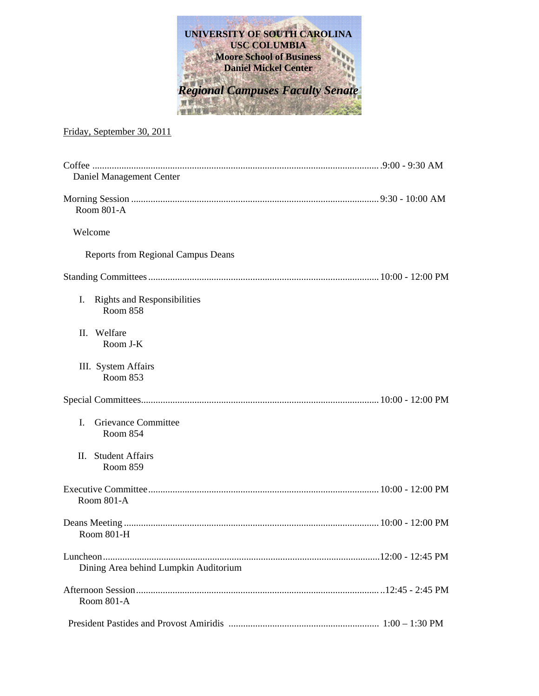

## Friday, September 30, 2011

| Daniel Management Center                                    |  |
|-------------------------------------------------------------|--|
| Room 801-A                                                  |  |
| Welcome                                                     |  |
| <b>Reports from Regional Campus Deans</b>                   |  |
|                                                             |  |
| Ι.<br><b>Rights and Responsibilities</b><br><b>Room 858</b> |  |
| II. Welfare<br>Room J-K                                     |  |
| III. System Affairs<br>Room 853                             |  |
|                                                             |  |
| Grievance Committee<br>L<br>Room 854                        |  |
| <b>Student Affairs</b><br>Н.<br>Room 859                    |  |
| Room 801-A                                                  |  |
| Room 801-H                                                  |  |
| Dining Area behind Lumpkin Auditorium                       |  |
| Room 801-A                                                  |  |
|                                                             |  |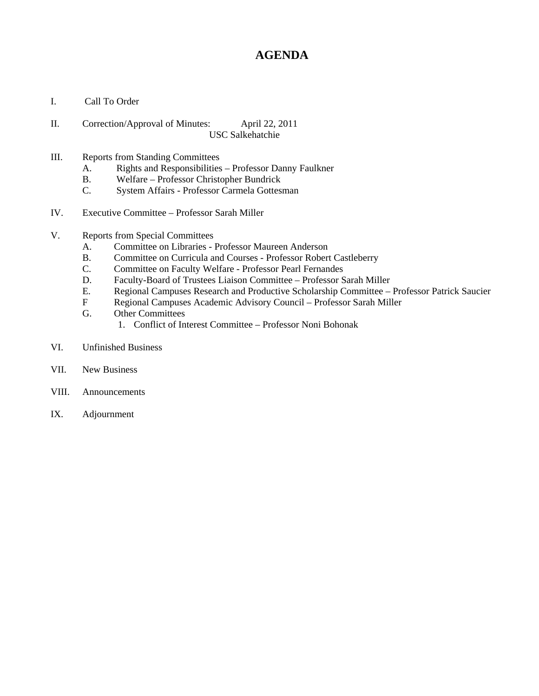# **AGENDA**

- I. Call To Order
- II. Correction/Approval of Minutes: April 22, 2011 USC Salkehatchie
- III. Reports from Standing Committees
	- A. Rights and Responsibilities Professor Danny Faulkner
	- B. Welfare Professor Christopher Bundrick
	- C. System Affairs Professor Carmela Gottesman
- IV. Executive Committee Professor Sarah Miller
- V. Reports from Special Committees
	- A. Committee on Libraries Professor Maureen Anderson
	- B. Committee on Curricula and Courses Professor Robert Castleberry
	- C. Committee on Faculty Welfare Professor Pearl Fernandes
	- D. Faculty-Board of Trustees Liaison Committee Professor Sarah Miller
	- E. Regional Campuses Research and Productive Scholarship Committee Professor Patrick Saucier
	- F Regional Campuses Academic Advisory Council Professor Sarah Miller
	- G. Other Committees
		- 1. Conflict of Interest Committee Professor Noni Bohonak
- VI. Unfinished Business
- VII. New Business
- VIII. Announcements
- IX. Adjournment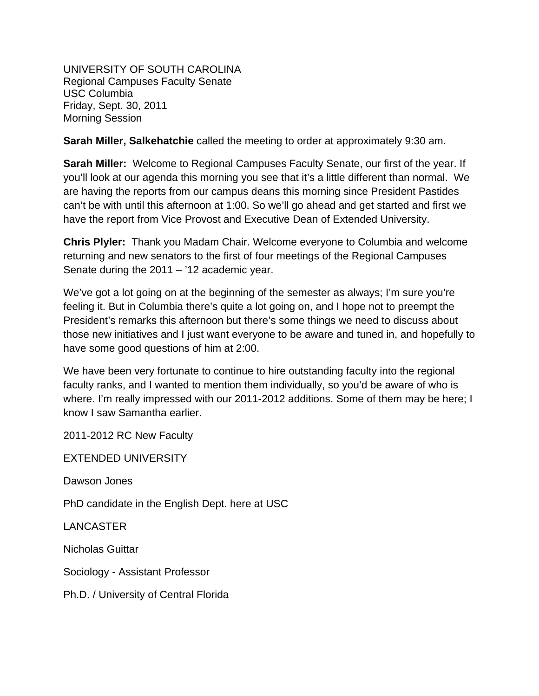UNIVERSITY OF SOUTH CAROLINA Regional Campuses Faculty Senate USC Columbia Friday, Sept. 30, 2011 Morning Session

**Sarah Miller, Salkehatchie** called the meeting to order at approximately 9:30 am.

**Sarah Miller:** Welcome to Regional Campuses Faculty Senate, our first of the year. If you'll look at our agenda this morning you see that it's a little different than normal. We are having the reports from our campus deans this morning since President Pastides can't be with until this afternoon at 1:00. So we'll go ahead and get started and first we have the report from Vice Provost and Executive Dean of Extended University.

**Chris Plyler:** Thank you Madam Chair. Welcome everyone to Columbia and welcome returning and new senators to the first of four meetings of the Regional Campuses Senate during the 2011 – '12 academic year.

We've got a lot going on at the beginning of the semester as always; I'm sure you're feeling it. But in Columbia there's quite a lot going on, and I hope not to preempt the President's remarks this afternoon but there's some things we need to discuss about those new initiatives and I just want everyone to be aware and tuned in, and hopefully to have some good questions of him at 2:00.

We have been very fortunate to continue to hire outstanding faculty into the regional faculty ranks, and I wanted to mention them individually, so you'd be aware of who is where. I'm really impressed with our 2011-2012 additions. Some of them may be here; I know I saw Samantha earlier.

2011-2012 RC New Faculty

EXTENDED UNIVERSITY

Dawson Jones

PhD candidate in the English Dept. here at USC

LANCASTER

Nicholas Guittar

Sociology - Assistant Professor

Ph.D. / University of Central Florida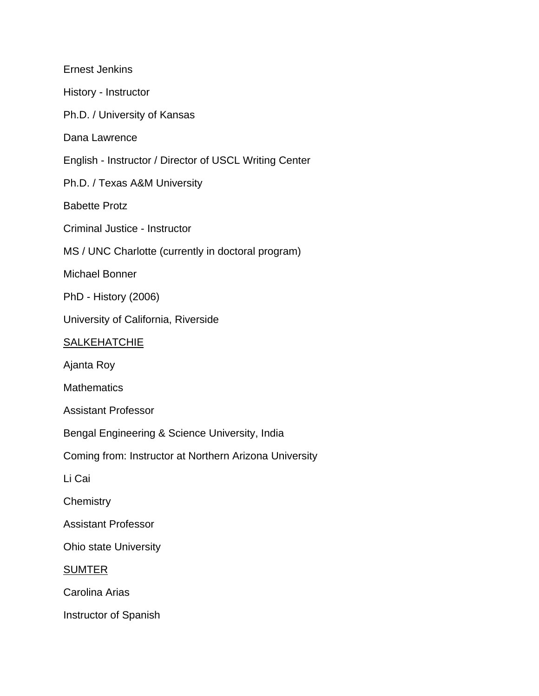Ernest Jenkins History - Instructor Ph.D. / University of Kansas Dana Lawrence English - Instructor / Director of USCL Writing Center Ph.D. / Texas A&M University Babette Protz Criminal Justice - Instructor MS / UNC Charlotte (currently in doctoral program) Michael Bonner PhD - History (2006) University of California, Riverside **SALKEHATCHIE** Ajanta Roy **Mathematics** Assistant Professor Bengal Engineering & Science University, India Coming from: Instructor at Northern Arizona University Li Cai **Chemistry** Assistant Professor Ohio state University SUMTER Carolina Arias Instructor of Spanish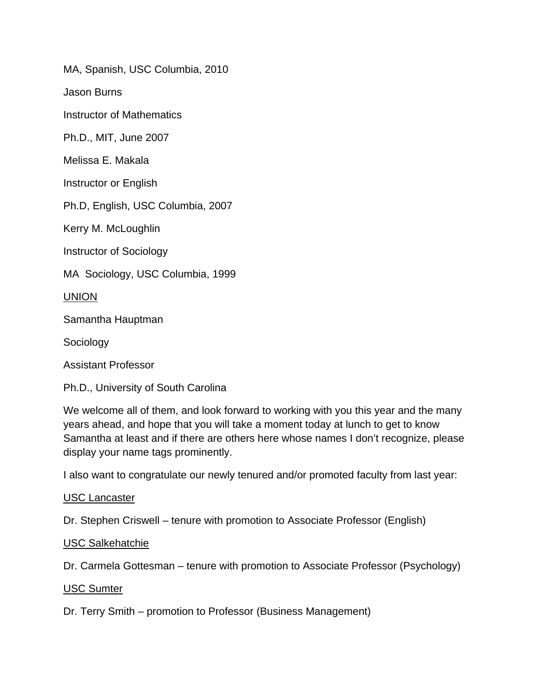MA, Spanish, USC Columbia, 2010

Jason Burns

Instructor of Mathematics

Ph.D., MIT, June 2007

Melissa E. Makala

Instructor or English

Ph.D, English, USC Columbia, 2007

Kerry M. McLoughlin

Instructor of Sociology

MA Sociology, USC Columbia, 1999

UNION

Samantha Hauptman

Sociology

Assistant Professor

Ph.D., University of South Carolina

We welcome all of them, and look forward to working with you this year and the many years ahead, and hope that you will take a moment today at lunch to get to know Samantha at least and if there are others here whose names I don't recognize, please display your name tags prominently.

I also want to congratulate our newly tenured and/or promoted faculty from last year:

## USC Lancaster

Dr. Stephen Criswell – tenure with promotion to Associate Professor (English)

## USC Salkehatchie

Dr. Carmela Gottesman – tenure with promotion to Associate Professor (Psychology)

## USC Sumter

Dr. Terry Smith – promotion to Professor (Business Management)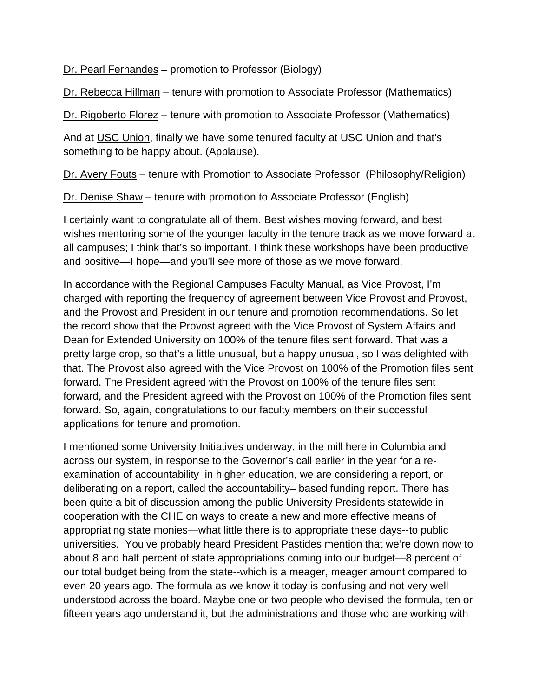Dr. Pearl Fernandes – promotion to Professor (Biology)

Dr. Rebecca Hillman – tenure with promotion to Associate Professor (Mathematics)

Dr. Rigoberto Florez – tenure with promotion to Associate Professor (Mathematics)

And at USC Union, finally we have some tenured faculty at USC Union and that's something to be happy about. (Applause).

Dr. Avery Fouts – tenure with Promotion to Associate Professor (Philosophy/Religion)

Dr. Denise Shaw – tenure with promotion to Associate Professor (English)

I certainly want to congratulate all of them. Best wishes moving forward, and best wishes mentoring some of the younger faculty in the tenure track as we move forward at all campuses; I think that's so important. I think these workshops have been productive and positive—I hope—and you'll see more of those as we move forward.

In accordance with the Regional Campuses Faculty Manual, as Vice Provost, I'm charged with reporting the frequency of agreement between Vice Provost and Provost, and the Provost and President in our tenure and promotion recommendations. So let the record show that the Provost agreed with the Vice Provost of System Affairs and Dean for Extended University on 100% of the tenure files sent forward. That was a pretty large crop, so that's a little unusual, but a happy unusual, so I was delighted with that. The Provost also agreed with the Vice Provost on 100% of the Promotion files sent forward. The President agreed with the Provost on 100% of the tenure files sent forward, and the President agreed with the Provost on 100% of the Promotion files sent forward. So, again, congratulations to our faculty members on their successful applications for tenure and promotion.

I mentioned some University Initiatives underway, in the mill here in Columbia and across our system, in response to the Governor's call earlier in the year for a reexamination of accountability in higher education, we are considering a report, or deliberating on a report, called the accountability– based funding report. There has been quite a bit of discussion among the public University Presidents statewide in cooperation with the CHE on ways to create a new and more effective means of appropriating state monies—what little there is to appropriate these days--to public universities. You've probably heard President Pastides mention that we're down now to about 8 and half percent of state appropriations coming into our budget—8 percent of our total budget being from the state--which is a meager, meager amount compared to even 20 years ago. The formula as we know it today is confusing and not very well understood across the board. Maybe one or two people who devised the formula, ten or fifteen years ago understand it, but the administrations and those who are working with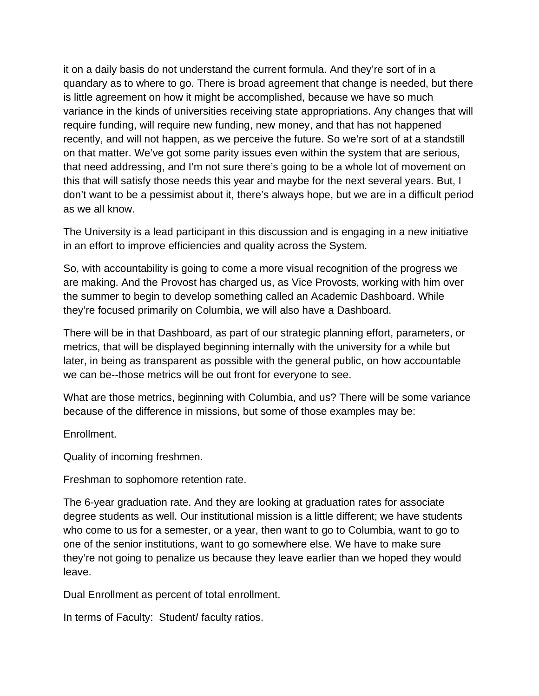it on a daily basis do not understand the current formula. And they're sort of in a quandary as to where to go. There is broad agreement that change is needed, but there is little agreement on how it might be accomplished, because we have so much variance in the kinds of universities receiving state appropriations. Any changes that will require funding, will require new funding, new money, and that has not happened recently, and will not happen, as we perceive the future. So we're sort of at a standstill on that matter. We've got some parity issues even within the system that are serious, that need addressing, and I'm not sure there's going to be a whole lot of movement on this that will satisfy those needs this year and maybe for the next several years. But, I don't want to be a pessimist about it, there's always hope, but we are in a difficult period as we all know.

The University is a lead participant in this discussion and is engaging in a new initiative in an effort to improve efficiencies and quality across the System.

So, with accountability is going to come a more visual recognition of the progress we are making. And the Provost has charged us, as Vice Provosts, working with him over the summer to begin to develop something called an Academic Dashboard. While they're focused primarily on Columbia, we will also have a Dashboard.

There will be in that Dashboard, as part of our strategic planning effort, parameters, or metrics, that will be displayed beginning internally with the university for a while but later, in being as transparent as possible with the general public, on how accountable we can be--those metrics will be out front for everyone to see.

What are those metrics, beginning with Columbia, and us? There will be some variance because of the difference in missions, but some of those examples may be:

Enrollment.

Quality of incoming freshmen.

Freshman to sophomore retention rate.

The 6-year graduation rate. And they are looking at graduation rates for associate degree students as well. Our institutional mission is a little different; we have students who come to us for a semester, or a year, then want to go to Columbia, want to go to one of the senior institutions, want to go somewhere else. We have to make sure they're not going to penalize us because they leave earlier than we hoped they would leave.

Dual Enrollment as percent of total enrollment.

In terms of Faculty: Student/ faculty ratios.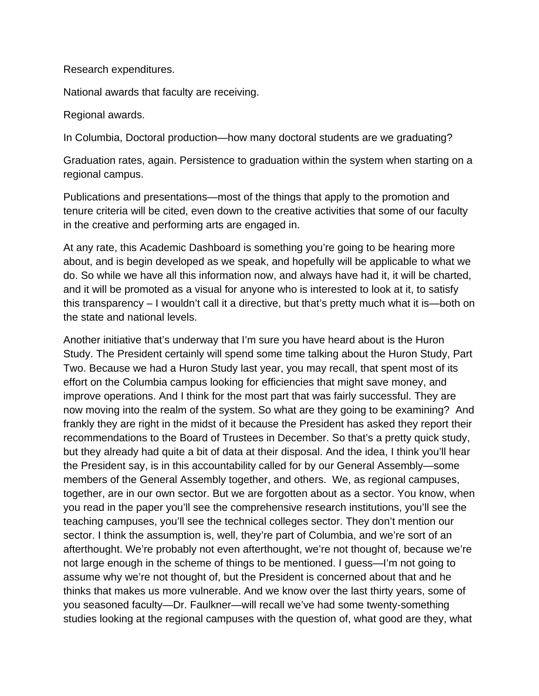#### Research expenditures.

National awards that faculty are receiving.

#### Regional awards.

In Columbia, Doctoral production—how many doctoral students are we graduating?

Graduation rates, again. Persistence to graduation within the system when starting on a regional campus.

Publications and presentations—most of the things that apply to the promotion and tenure criteria will be cited, even down to the creative activities that some of our faculty in the creative and performing arts are engaged in.

At any rate, this Academic Dashboard is something you're going to be hearing more about, and is begin developed as we speak, and hopefully will be applicable to what we do. So while we have all this information now, and always have had it, it will be charted, and it will be promoted as a visual for anyone who is interested to look at it, to satisfy this transparency – I wouldn't call it a directive, but that's pretty much what it is—both on the state and national levels.

Another initiative that's underway that I'm sure you have heard about is the Huron Study. The President certainly will spend some time talking about the Huron Study, Part Two. Because we had a Huron Study last year, you may recall, that spent most of its effort on the Columbia campus looking for efficiencies that might save money, and improve operations. And I think for the most part that was fairly successful. They are now moving into the realm of the system. So what are they going to be examining? And frankly they are right in the midst of it because the President has asked they report their recommendations to the Board of Trustees in December. So that's a pretty quick study, but they already had quite a bit of data at their disposal. And the idea, I think you'll hear the President say, is in this accountability called for by our General Assembly—some members of the General Assembly together, and others. We, as regional campuses, together, are in our own sector. But we are forgotten about as a sector. You know, when you read in the paper you'll see the comprehensive research institutions, you'll see the teaching campuses, you'll see the technical colleges sector. They don't mention our sector. I think the assumption is, well, they're part of Columbia, and we're sort of an afterthought. We're probably not even afterthought, we're not thought of, because we're not large enough in the scheme of things to be mentioned. I guess—I'm not going to assume why we're not thought of, but the President is concerned about that and he thinks that makes us more vulnerable. And we know over the last thirty years, some of you seasoned faculty—Dr. Faulkner—will recall we've had some twenty-something studies looking at the regional campuses with the question of, what good are they, what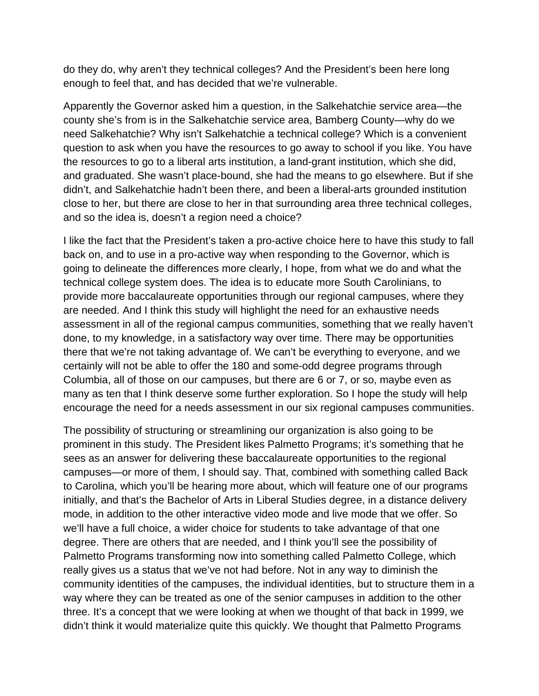do they do, why aren't they technical colleges? And the President's been here long enough to feel that, and has decided that we're vulnerable.

Apparently the Governor asked him a question, in the Salkehatchie service area—the county she's from is in the Salkehatchie service area, Bamberg County—why do we need Salkehatchie? Why isn't Salkehatchie a technical college? Which is a convenient question to ask when you have the resources to go away to school if you like. You have the resources to go to a liberal arts institution, a land-grant institution, which she did, and graduated. She wasn't place-bound, she had the means to go elsewhere. But if she didn't, and Salkehatchie hadn't been there, and been a liberal-arts grounded institution close to her, but there are close to her in that surrounding area three technical colleges, and so the idea is, doesn't a region need a choice?

I like the fact that the President's taken a pro-active choice here to have this study to fall back on, and to use in a pro-active way when responding to the Governor, which is going to delineate the differences more clearly, I hope, from what we do and what the technical college system does. The idea is to educate more South Carolinians, to provide more baccalaureate opportunities through our regional campuses, where they are needed. And I think this study will highlight the need for an exhaustive needs assessment in all of the regional campus communities, something that we really haven't done, to my knowledge, in a satisfactory way over time. There may be opportunities there that we're not taking advantage of. We can't be everything to everyone, and we certainly will not be able to offer the 180 and some-odd degree programs through Columbia, all of those on our campuses, but there are 6 or 7, or so, maybe even as many as ten that I think deserve some further exploration. So I hope the study will help encourage the need for a needs assessment in our six regional campuses communities.

The possibility of structuring or streamlining our organization is also going to be prominent in this study. The President likes Palmetto Programs; it's something that he sees as an answer for delivering these baccalaureate opportunities to the regional campuses—or more of them, I should say. That, combined with something called Back to Carolina, which you'll be hearing more about, which will feature one of our programs initially, and that's the Bachelor of Arts in Liberal Studies degree, in a distance delivery mode, in addition to the other interactive video mode and live mode that we offer. So we'll have a full choice, a wider choice for students to take advantage of that one degree. There are others that are needed, and I think you'll see the possibility of Palmetto Programs transforming now into something called Palmetto College, which really gives us a status that we've not had before. Not in any way to diminish the community identities of the campuses, the individual identities, but to structure them in a way where they can be treated as one of the senior campuses in addition to the other three. It's a concept that we were looking at when we thought of that back in 1999, we didn't think it would materialize quite this quickly. We thought that Palmetto Programs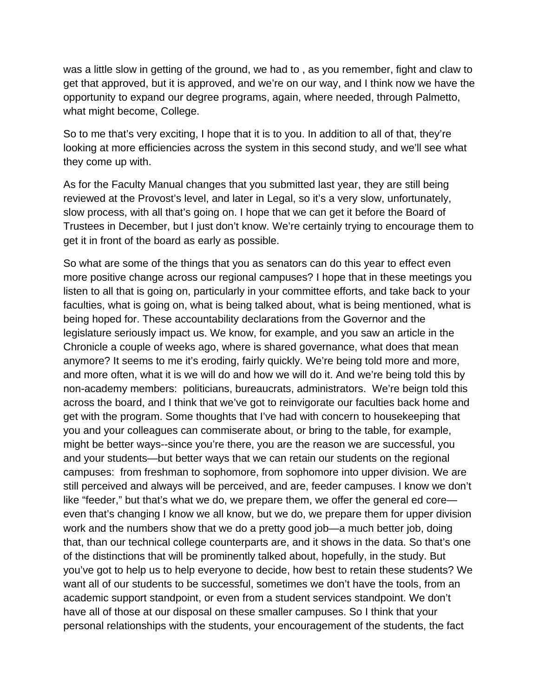was a little slow in getting of the ground, we had to , as you remember, fight and claw to get that approved, but it is approved, and we're on our way, and I think now we have the opportunity to expand our degree programs, again, where needed, through Palmetto, what might become, College.

So to me that's very exciting, I hope that it is to you. In addition to all of that, they're looking at more efficiencies across the system in this second study, and we'll see what they come up with.

As for the Faculty Manual changes that you submitted last year, they are still being reviewed at the Provost's level, and later in Legal, so it's a very slow, unfortunately, slow process, with all that's going on. I hope that we can get it before the Board of Trustees in December, but I just don't know. We're certainly trying to encourage them to get it in front of the board as early as possible.

So what are some of the things that you as senators can do this year to effect even more positive change across our regional campuses? I hope that in these meetings you listen to all that is going on, particularly in your committee efforts, and take back to your faculties, what is going on, what is being talked about, what is being mentioned, what is being hoped for. These accountability declarations from the Governor and the legislature seriously impact us. We know, for example, and you saw an article in the Chronicle a couple of weeks ago, where is shared governance, what does that mean anymore? It seems to me it's eroding, fairly quickly. We're being told more and more, and more often, what it is we will do and how we will do it. And we're being told this by non-academy members: politicians, bureaucrats, administrators. We're beign told this across the board, and I think that we've got to reinvigorate our faculties back home and get with the program. Some thoughts that I've had with concern to housekeeping that you and your colleagues can commiserate about, or bring to the table, for example, might be better ways--since you're there, you are the reason we are successful, you and your students—but better ways that we can retain our students on the regional campuses: from freshman to sophomore, from sophomore into upper division. We are still perceived and always will be perceived, and are, feeder campuses. I know we don't like "feeder," but that's what we do, we prepare them, we offer the general ed core even that's changing I know we all know, but we do, we prepare them for upper division work and the numbers show that we do a pretty good job—a much better job, doing that, than our technical college counterparts are, and it shows in the data. So that's one of the distinctions that will be prominently talked about, hopefully, in the study. But you've got to help us to help everyone to decide, how best to retain these students? We want all of our students to be successful, sometimes we don't have the tools, from an academic support standpoint, or even from a student services standpoint. We don't have all of those at our disposal on these smaller campuses. So I think that your personal relationships with the students, your encouragement of the students, the fact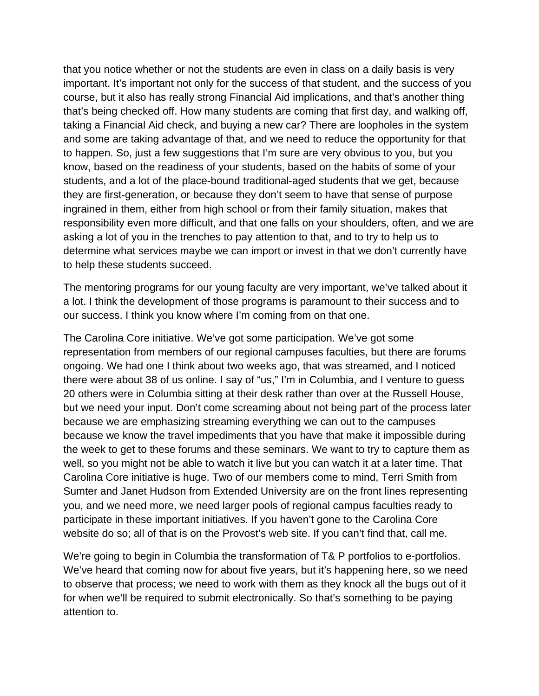that you notice whether or not the students are even in class on a daily basis is very important. It's important not only for the success of that student, and the success of you course, but it also has really strong Financial Aid implications, and that's another thing that's being checked off. How many students are coming that first day, and walking off, taking a Financial Aid check, and buying a new car? There are loopholes in the system and some are taking advantage of that, and we need to reduce the opportunity for that to happen. So, just a few suggestions that I'm sure are very obvious to you, but you know, based on the readiness of your students, based on the habits of some of your students, and a lot of the place-bound traditional-aged students that we get, because they are first-generation, or because they don't seem to have that sense of purpose ingrained in them, either from high school or from their family situation, makes that responsibility even more difficult, and that one falls on your shoulders, often, and we are asking a lot of you in the trenches to pay attention to that, and to try to help us to determine what services maybe we can import or invest in that we don't currently have to help these students succeed.

The mentoring programs for our young faculty are very important, we've talked about it a lot. I think the development of those programs is paramount to their success and to our success. I think you know where I'm coming from on that one.

The Carolina Core initiative. We've got some participation. We've got some representation from members of our regional campuses faculties, but there are forums ongoing. We had one I think about two weeks ago, that was streamed, and I noticed there were about 38 of us online. I say of "us," I'm in Columbia, and I venture to guess 20 others were in Columbia sitting at their desk rather than over at the Russell House, but we need your input. Don't come screaming about not being part of the process later because we are emphasizing streaming everything we can out to the campuses because we know the travel impediments that you have that make it impossible during the week to get to these forums and these seminars. We want to try to capture them as well, so you might not be able to watch it live but you can watch it at a later time. That Carolina Core initiative is huge. Two of our members come to mind, Terri Smith from Sumter and Janet Hudson from Extended University are on the front lines representing you, and we need more, we need larger pools of regional campus faculties ready to participate in these important initiatives. If you haven't gone to the Carolina Core website do so; all of that is on the Provost's web site. If you can't find that, call me.

We're going to begin in Columbia the transformation of T& P portfolios to e-portfolios. We've heard that coming now for about five years, but it's happening here, so we need to observe that process; we need to work with them as they knock all the bugs out of it for when we'll be required to submit electronically. So that's something to be paying attention to.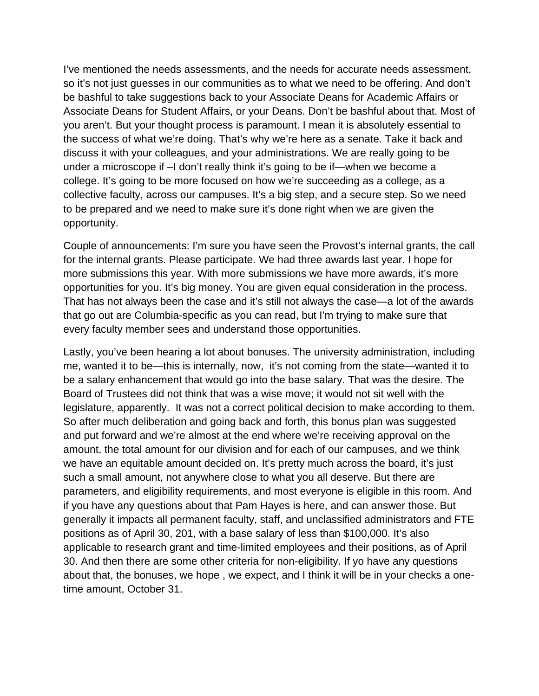I've mentioned the needs assessments, and the needs for accurate needs assessment, so it's not just guesses in our communities as to what we need to be offering. And don't be bashful to take suggestions back to your Associate Deans for Academic Affairs or Associate Deans for Student Affairs, or your Deans. Don't be bashful about that. Most of you aren't. But your thought process is paramount. I mean it is absolutely essential to the success of what we're doing. That's why we're here as a senate. Take it back and discuss it with your colleagues, and your administrations. We are really going to be under a microscope if –I don't really think it's going to be if—when we become a college. It's going to be more focused on how we're succeeding as a college, as a collective faculty, across our campuses. It's a big step, and a secure step. So we need to be prepared and we need to make sure it's done right when we are given the opportunity.

Couple of announcements: I'm sure you have seen the Provost's internal grants, the call for the internal grants. Please participate. We had three awards last year. I hope for more submissions this year. With more submissions we have more awards, it's more opportunities for you. It's big money. You are given equal consideration in the process. That has not always been the case and it's still not always the case—a lot of the awards that go out are Columbia-specific as you can read, but I'm trying to make sure that every faculty member sees and understand those opportunities.

Lastly, you've been hearing a lot about bonuses. The university administration, including me, wanted it to be—this is internally, now, it's not coming from the state—wanted it to be a salary enhancement that would go into the base salary. That was the desire. The Board of Trustees did not think that was a wise move; it would not sit well with the legislature, apparently. It was not a correct political decision to make according to them. So after much deliberation and going back and forth, this bonus plan was suggested and put forward and we're almost at the end where we're receiving approval on the amount, the total amount for our division and for each of our campuses, and we think we have an equitable amount decided on. It's pretty much across the board, it's just such a small amount, not anywhere close to what you all deserve. But there are parameters, and eligibility requirements, and most everyone is eligible in this room. And if you have any questions about that Pam Hayes is here, and can answer those. But generally it impacts all permanent faculty, staff, and unclassified administrators and FTE positions as of April 30, 201, with a base salary of less than \$100,000. It's also applicable to research grant and time-limited employees and their positions, as of April 30. And then there are some other criteria for non-eligibility. If yo have any questions about that, the bonuses, we hope , we expect, and I think it will be in your checks a onetime amount, October 31.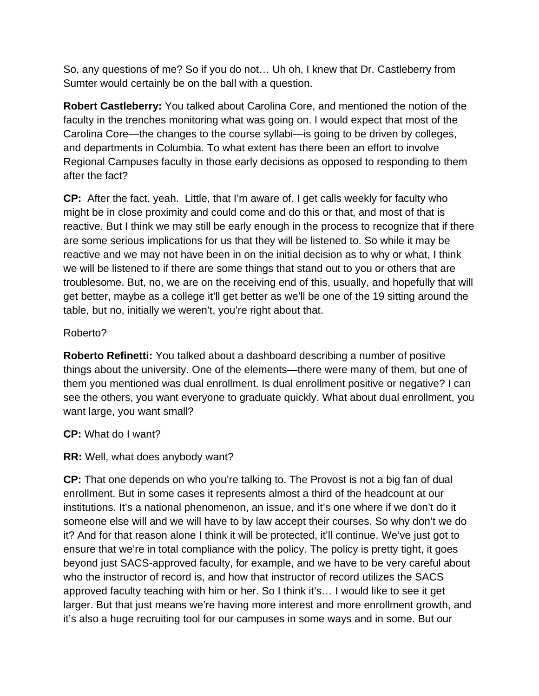So, any questions of me? So if you do not… Uh oh, I knew that Dr. Castleberry from Sumter would certainly be on the ball with a question.

**Robert Castleberry:** You talked about Carolina Core, and mentioned the notion of the faculty in the trenches monitoring what was going on. I would expect that most of the Carolina Core—the changes to the course syllabi—is going to be driven by colleges, and departments in Columbia. To what extent has there been an effort to involve Regional Campuses faculty in those early decisions as opposed to responding to them after the fact?

**CP:** After the fact, yeah. Little, that I'm aware of. I get calls weekly for faculty who might be in close proximity and could come and do this or that, and most of that is reactive. But I think we may still be early enough in the process to recognize that if there are some serious implications for us that they will be listened to. So while it may be reactive and we may not have been in on the initial decision as to why or what, I think we will be listened to if there are some things that stand out to you or others that are troublesome. But, no, we are on the receiving end of this, usually, and hopefully that will get better, maybe as a college it'll get better as we'll be one of the 19 sitting around the table, but no, initially we weren't, you're right about that.

## Roberto?

**Roberto Refinetti:** You talked about a dashboard describing a number of positive things about the university. One of the elements—there were many of them, but one of them you mentioned was dual enrollment. Is dual enrollment positive or negative? I can see the others, you want everyone to graduate quickly. What about dual enrollment, you want large, you want small?

# **CP:** What do I want?

# **RR:** Well, what does anybody want?

**CP:** That one depends on who you're talking to. The Provost is not a big fan of dual enrollment. But in some cases it represents almost a third of the headcount at our institutions. It's a national phenomenon, an issue, and it's one where if we don't do it someone else will and we will have to by law accept their courses. So why don't we do it? And for that reason alone I think it will be protected, it'll continue. We've just got to ensure that we're in total compliance with the policy. The policy is pretty tight, it goes beyond just SACS-approved faculty, for example, and we have to be very careful about who the instructor of record is, and how that instructor of record utilizes the SACS approved faculty teaching with him or her. So I think it's… I would like to see it get larger. But that just means we're having more interest and more enrollment growth, and it's also a huge recruiting tool for our campuses in some ways and in some. But our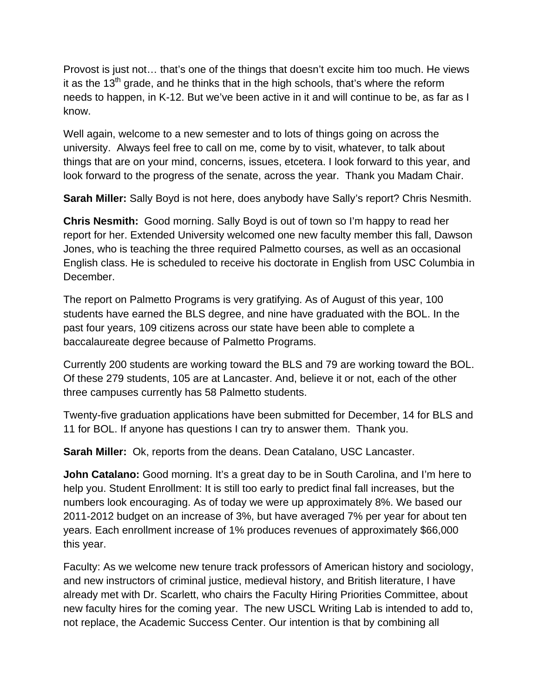Provost is just not… that's one of the things that doesn't excite him too much. He views it as the  $13<sup>th</sup>$  grade, and he thinks that in the high schools, that's where the reform needs to happen, in K-12. But we've been active in it and will continue to be, as far as I know.

Well again, welcome to a new semester and to lots of things going on across the university. Always feel free to call on me, come by to visit, whatever, to talk about things that are on your mind, concerns, issues, etcetera. I look forward to this year, and look forward to the progress of the senate, across the year. Thank you Madam Chair.

**Sarah Miller:** Sally Boyd is not here, does anybody have Sally's report? Chris Nesmith.

**Chris Nesmith:** Good morning. Sally Boyd is out of town so I'm happy to read her report for her. Extended University welcomed one new faculty member this fall, Dawson Jones, who is teaching the three required Palmetto courses, as well as an occasional English class. He is scheduled to receive his doctorate in English from USC Columbia in December.

The report on Palmetto Programs is very gratifying. As of August of this year, 100 students have earned the BLS degree, and nine have graduated with the BOL. In the past four years, 109 citizens across our state have been able to complete a baccalaureate degree because of Palmetto Programs.

Currently 200 students are working toward the BLS and 79 are working toward the BOL. Of these 279 students, 105 are at Lancaster. And, believe it or not, each of the other three campuses currently has 58 Palmetto students.

Twenty-five graduation applications have been submitted for December, 14 for BLS and 11 for BOL. If anyone has questions I can try to answer them. Thank you.

**Sarah Miller:** Ok, reports from the deans. Dean Catalano, USC Lancaster.

**John Catalano:** Good morning. It's a great day to be in South Carolina, and I'm here to help you. Student Enrollment: It is still too early to predict final fall increases, but the numbers look encouraging. As of today we were up approximately 8%. We based our 2011-2012 budget on an increase of 3%, but have averaged 7% per year for about ten years. Each enrollment increase of 1% produces revenues of approximately \$66,000 this year.

Faculty: As we welcome new tenure track professors of American history and sociology, and new instructors of criminal justice, medieval history, and British literature, I have already met with Dr. Scarlett, who chairs the Faculty Hiring Priorities Committee, about new faculty hires for the coming year. The new USCL Writing Lab is intended to add to, not replace, the Academic Success Center. Our intention is that by combining all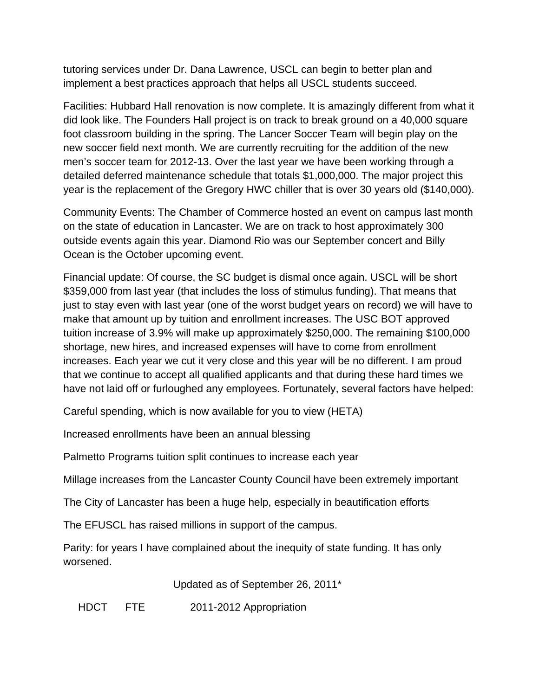tutoring services under Dr. Dana Lawrence, USCL can begin to better plan and implement a best practices approach that helps all USCL students succeed.

Facilities: Hubbard Hall renovation is now complete. It is amazingly different from what it did look like. The Founders Hall project is on track to break ground on a 40,000 square foot classroom building in the spring. The Lancer Soccer Team will begin play on the new soccer field next month. We are currently recruiting for the addition of the new men's soccer team for 2012-13. Over the last year we have been working through a detailed deferred maintenance schedule that totals \$1,000,000. The major project this year is the replacement of the Gregory HWC chiller that is over 30 years old (\$140,000).

Community Events: The Chamber of Commerce hosted an event on campus last month on the state of education in Lancaster. We are on track to host approximately 300 outside events again this year. Diamond Rio was our September concert and Billy Ocean is the October upcoming event.

Financial update: Of course, the SC budget is dismal once again. USCL will be short \$359,000 from last year (that includes the loss of stimulus funding). That means that just to stay even with last year (one of the worst budget years on record) we will have to make that amount up by tuition and enrollment increases. The USC BOT approved tuition increase of 3.9% will make up approximately \$250,000. The remaining \$100,000 shortage, new hires, and increased expenses will have to come from enrollment increases. Each year we cut it very close and this year will be no different. I am proud that we continue to accept all qualified applicants and that during these hard times we have not laid off or furloughed any employees. Fortunately, several factors have helped:

Careful spending, which is now available for you to view (HETA)

Increased enrollments have been an annual blessing

Palmetto Programs tuition split continues to increase each year

Millage increases from the Lancaster County Council have been extremely important

The City of Lancaster has been a huge help, especially in beautification efforts

The EFUSCL has raised millions in support of the campus.

Parity: for years I have complained about the inequity of state funding. It has only worsened.

Updated as of September 26, 2011\*

HDCT FTE 2011-2012 Appropriation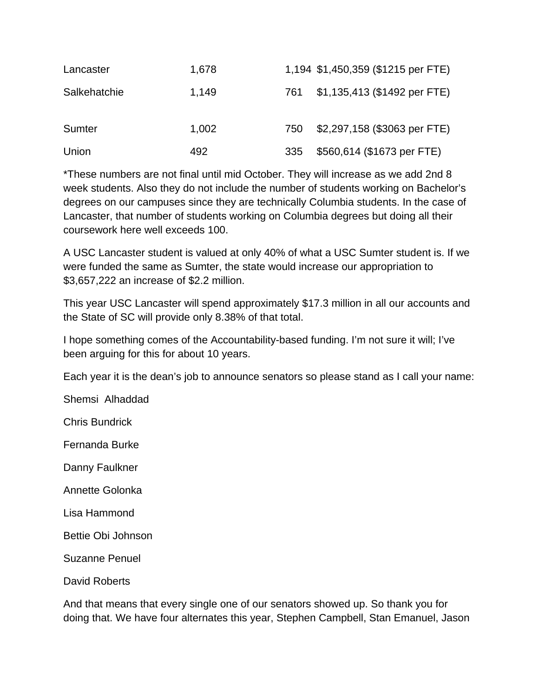| Lancaster    | 1,678 |     | 1,194 \$1,450,359 (\$1215 per FTE) |
|--------------|-------|-----|------------------------------------|
| Salkehatchie | 1,149 | 761 | \$1,135,413 (\$1492 per FTE)       |
| Sumter       | 1,002 | 750 | \$2,297,158 (\$3063 per FTE)       |
| Union        | 492   | 335 | \$560,614 (\$1673 per FTE)         |

\*These numbers are not final until mid October. They will increase as we add 2nd 8 week students. Also they do not include the number of students working on Bachelor's degrees on our campuses since they are technically Columbia students. In the case of Lancaster, that number of students working on Columbia degrees but doing all their coursework here well exceeds 100.

A USC Lancaster student is valued at only 40% of what a USC Sumter student is. If we were funded the same as Sumter, the state would increase our appropriation to \$3,657,222 an increase of \$2.2 million.

This year USC Lancaster will spend approximately \$17.3 million in all our accounts and the State of SC will provide only 8.38% of that total.

I hope something comes of the Accountability-based funding. I'm not sure it will; I've been arguing for this for about 10 years.

Each year it is the dean's job to announce senators so please stand as I call your name:

Shemsi Alhaddad

Chris Bundrick

Fernanda Burke

Danny Faulkner

Annette Golonka

Lisa Hammond

Bettie Obi Johnson

Suzanne Penuel

David Roberts

And that means that every single one of our senators showed up. So thank you for doing that. We have four alternates this year, Stephen Campbell, Stan Emanuel, Jason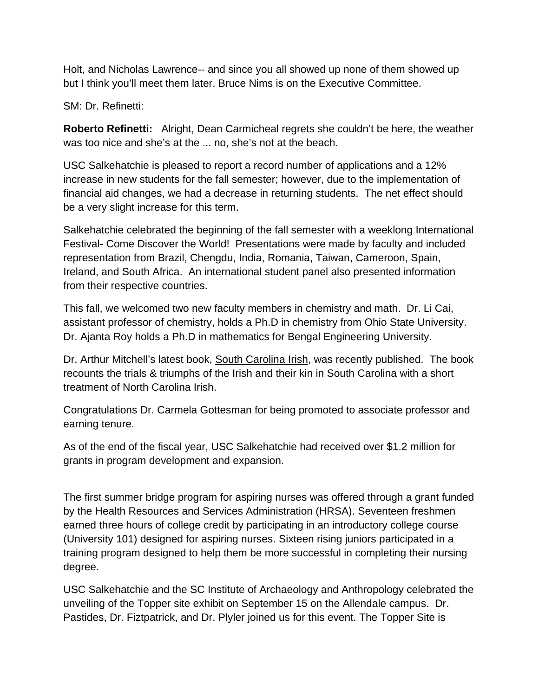Holt, and Nicholas Lawrence-- and since you all showed up none of them showed up but I think you'll meet them later. Bruce Nims is on the Executive Committee.

SM: Dr. Refinetti:

**Roberto Refinetti:** Alright, Dean Carmicheal regrets she couldn't be here, the weather was too nice and she's at the ... no, she's not at the beach.

USC Salkehatchie is pleased to report a record number of applications and a 12% increase in new students for the fall semester; however, due to the implementation of financial aid changes, we had a decrease in returning students. The net effect should be a very slight increase for this term.

Salkehatchie celebrated the beginning of the fall semester with a weeklong International Festival- Come Discover the World! Presentations were made by faculty and included representation from Brazil, Chengdu, India, Romania, Taiwan, Cameroon, Spain, Ireland, and South Africa. An international student panel also presented information from their respective countries.

This fall, we welcomed two new faculty members in chemistry and math. Dr. Li Cai, assistant professor of chemistry, holds a Ph.D in chemistry from Ohio State University. Dr. Ajanta Roy holds a Ph.D in mathematics for Bengal Engineering University.

Dr. Arthur Mitchell's latest book, South Carolina Irish, was recently published. The book recounts the trials & triumphs of the Irish and their kin in South Carolina with a short treatment of North Carolina Irish.

Congratulations Dr. Carmela Gottesman for being promoted to associate professor and earning tenure.

As of the end of the fiscal year, USC Salkehatchie had received over \$1.2 million for grants in program development and expansion.

The first summer bridge program for aspiring nurses was offered through a grant funded by the Health Resources and Services Administration (HRSA). Seventeen freshmen earned three hours of college credit by participating in an introductory college course (University 101) designed for aspiring nurses. Sixteen rising juniors participated in a training program designed to help them be more successful in completing their nursing degree.

USC Salkehatchie and the SC Institute of Archaeology and Anthropology celebrated the unveiling of the Topper site exhibit on September 15 on the Allendale campus. Dr. Pastides, Dr. Fiztpatrick, and Dr. Plyler joined us for this event. The Topper Site is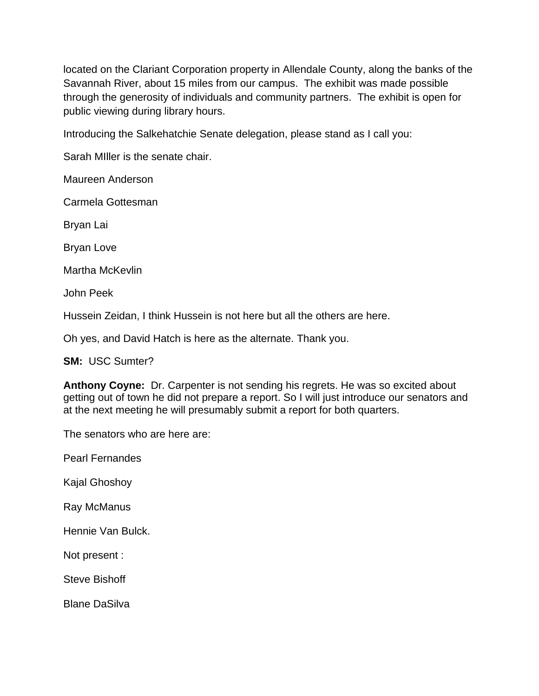located on the Clariant Corporation property in Allendale County, along the banks of the Savannah River, about 15 miles from our campus. The exhibit was made possible through the generosity of individuals and community partners. The exhibit is open for public viewing during library hours.

Introducing the Salkehatchie Senate delegation, please stand as I call you:

Sarah MIller is the senate chair.

Maureen Anderson

Carmela Gottesman

Bryan Lai

Bryan Love

Martha McKevlin

John Peek

Hussein Zeidan, I think Hussein is not here but all the others are here.

Oh yes, and David Hatch is here as the alternate. Thank you.

**SM:** USC Sumter?

**Anthony Coyne:** Dr. Carpenter is not sending his regrets. He was so excited about getting out of town he did not prepare a report. So I will just introduce our senators and at the next meeting he will presumably submit a report for both quarters.

The senators who are here are:

Pearl Fernandes

Kajal Ghoshoy

Ray McManus

Hennie Van Bulck.

Not present :

Steve Bishoff

Blane DaSilva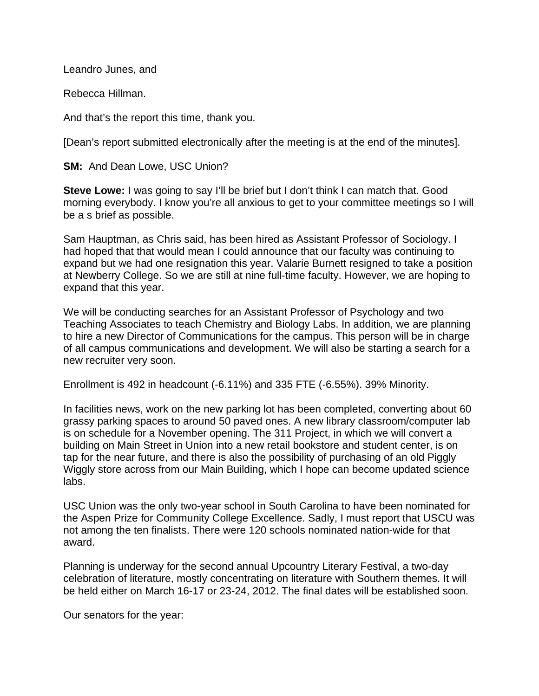Leandro Junes, and

Rebecca Hillman.

And that's the report this time, thank you.

[Dean's report submitted electronically after the meeting is at the end of the minutes].

**SM:** And Dean Lowe, USC Union?

**Steve Lowe:** I was going to say I'll be brief but I don't think I can match that. Good morning everybody. I know you're all anxious to get to your committee meetings so I will be a s brief as possible.

Sam Hauptman, as Chris said, has been hired as Assistant Professor of Sociology. I had hoped that that would mean I could announce that our faculty was continuing to expand but we had one resignation this year. Valarie Burnett resigned to take a position at Newberry College. So we are still at nine full-time faculty. However, we are hoping to expand that this year.

We will be conducting searches for an Assistant Professor of Psychology and two Teaching Associates to teach Chemistry and Biology Labs. In addition, we are planning to hire a new Director of Communications for the campus. This person will be in charge of all campus communications and development. We will also be starting a search for a new recruiter very soon.

Enrollment is 492 in headcount (-6.11%) and 335 FTE (-6.55%). 39% Minority.

In facilities news, work on the new parking lot has been completed, converting about 60 grassy parking spaces to around 50 paved ones. A new library classroom/computer lab is on schedule for a November opening. The 311 Project, in which we will convert a building on Main Street in Union into a new retail bookstore and student center, is on tap for the near future, and there is also the possibility of purchasing of an old Piggly Wiggly store across from our Main Building, which I hope can become updated science labs.

USC Union was the only two-year school in South Carolina to have been nominated for the Aspen Prize for Community College Excellence. Sadly, I must report that USCU was not among the ten finalists. There were 120 schools nominated nation-wide for that award.

Planning is underway for the second annual Upcountry Literary Festival, a two-day celebration of literature, mostly concentrating on literature with Southern themes. It will be held either on March 16-17 or 23-24, 2012. The final dates will be established soon.

Our senators for the year: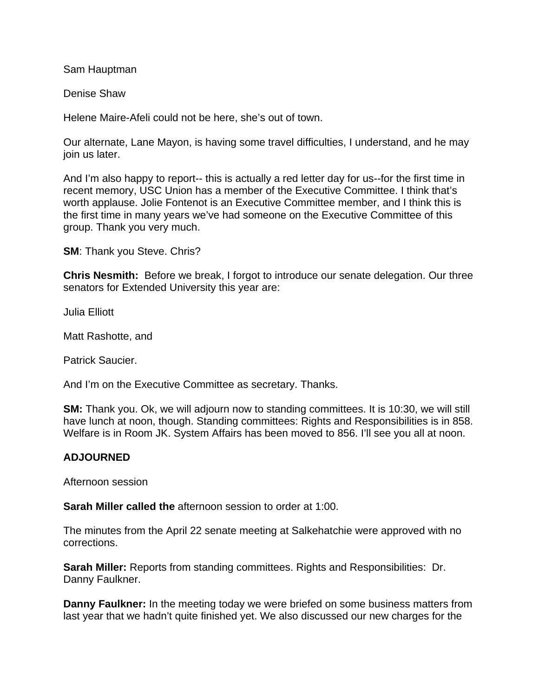Sam Hauptman

Denise Shaw

Helene Maire-Afeli could not be here, she's out of town.

Our alternate, Lane Mayon, is having some travel difficulties, I understand, and he may join us later.

And I'm also happy to report-- this is actually a red letter day for us--for the first time in recent memory, USC Union has a member of the Executive Committee. I think that's worth applause. Jolie Fontenot is an Executive Committee member, and I think this is the first time in many years we've had someone on the Executive Committee of this group. Thank you very much.

**SM**: Thank you Steve. Chris?

**Chris Nesmith:** Before we break, I forgot to introduce our senate delegation. Our three senators for Extended University this year are:

Julia Elliott

Matt Rashotte, and

Patrick Saucier.

And I'm on the Executive Committee as secretary. Thanks.

**SM:** Thank you. Ok, we will adjourn now to standing committees. It is 10:30, we will still have lunch at noon, though. Standing committees: Rights and Responsibilities is in 858. Welfare is in Room JK. System Affairs has been moved to 856. I'll see you all at noon.

## **ADJOURNED**

Afternoon session

**Sarah Miller called the** afternoon session to order at 1:00.

The minutes from the April 22 senate meeting at Salkehatchie were approved with no corrections.

**Sarah Miller:** Reports from standing committees. Rights and Responsibilities: Dr. Danny Faulkner.

**Danny Faulkner:** In the meeting today we were briefed on some business matters from last year that we hadn't quite finished yet. We also discussed our new charges for the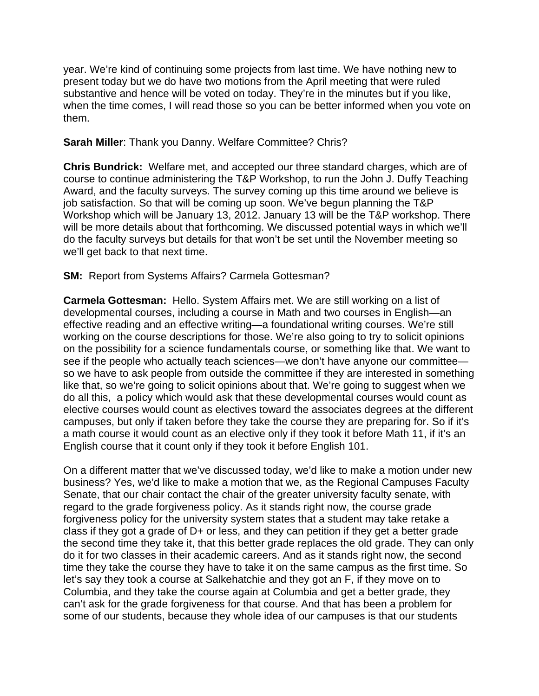year. We're kind of continuing some projects from last time. We have nothing new to present today but we do have two motions from the April meeting that were ruled substantive and hence will be voted on today. They're in the minutes but if you like, when the time comes, I will read those so you can be better informed when you vote on them.

#### **Sarah Miller**: Thank you Danny. Welfare Committee? Chris?

**Chris Bundrick:** Welfare met, and accepted our three standard charges, which are of course to continue administering the T&P Workshop, to run the John J. Duffy Teaching Award, and the faculty surveys. The survey coming up this time around we believe is job satisfaction. So that will be coming up soon. We've begun planning the T&P Workshop which will be January 13, 2012. January 13 will be the T&P workshop. There will be more details about that forthcoming. We discussed potential ways in which we'll do the faculty surveys but details for that won't be set until the November meeting so we'll get back to that next time.

## **SM: Report from Systems Affairs? Carmela Gottesman?**

**Carmela Gottesman:** Hello. System Affairs met. We are still working on a list of developmental courses, including a course in Math and two courses in English—an effective reading and an effective writing—a foundational writing courses. We're still working on the course descriptions for those. We're also going to try to solicit opinions on the possibility for a science fundamentals course, or something like that. We want to see if the people who actually teach sciences—we don't have anyone our committee so we have to ask people from outside the committee if they are interested in something like that, so we're going to solicit opinions about that. We're going to suggest when we do all this, a policy which would ask that these developmental courses would count as elective courses would count as electives toward the associates degrees at the different campuses, but only if taken before they take the course they are preparing for. So if it's a math course it would count as an elective only if they took it before Math 11, if it's an English course that it count only if they took it before English 101.

On a different matter that we've discussed today, we'd like to make a motion under new business? Yes, we'd like to make a motion that we, as the Regional Campuses Faculty Senate, that our chair contact the chair of the greater university faculty senate, with regard to the grade forgiveness policy. As it stands right now, the course grade forgiveness policy for the university system states that a student may take retake a class if they got a grade of D+ or less, and they can petition if they get a better grade the second time they take it, that this better grade replaces the old grade. They can only do it for two classes in their academic careers. And as it stands right now, the second time they take the course they have to take it on the same campus as the first time. So let's say they took a course at Salkehatchie and they got an F, if they move on to Columbia, and they take the course again at Columbia and get a better grade, they can't ask for the grade forgiveness for that course. And that has been a problem for some of our students, because they whole idea of our campuses is that our students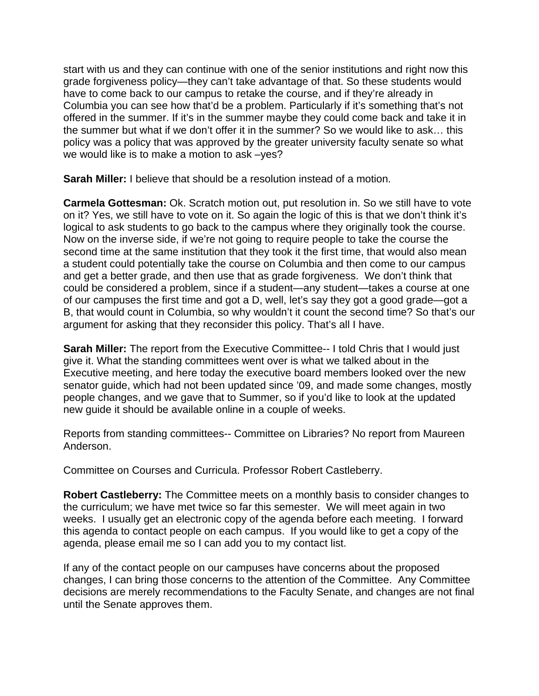start with us and they can continue with one of the senior institutions and right now this grade forgiveness policy—they can't take advantage of that. So these students would have to come back to our campus to retake the course, and if they're already in Columbia you can see how that'd be a problem. Particularly if it's something that's not offered in the summer. If it's in the summer maybe they could come back and take it in the summer but what if we don't offer it in the summer? So we would like to ask… this policy was a policy that was approved by the greater university faculty senate so what we would like is to make a motion to ask –yes?

**Sarah Miller:** I believe that should be a resolution instead of a motion.

**Carmela Gottesman:** Ok. Scratch motion out, put resolution in. So we still have to vote on it? Yes, we still have to vote on it. So again the logic of this is that we don't think it's logical to ask students to go back to the campus where they originally took the course. Now on the inverse side, if we're not going to require people to take the course the second time at the same institution that they took it the first time, that would also mean a student could potentially take the course on Columbia and then come to our campus and get a better grade, and then use that as grade forgiveness. We don't think that could be considered a problem, since if a student—any student—takes a course at one of our campuses the first time and got a D, well, let's say they got a good grade—got a B, that would count in Columbia, so why wouldn't it count the second time? So that's our argument for asking that they reconsider this policy. That's all I have.

**Sarah Miller:** The report from the Executive Committee-- I told Chris that I would just give it. What the standing committees went over is what we talked about in the Executive meeting, and here today the executive board members looked over the new senator guide, which had not been updated since '09, and made some changes, mostly people changes, and we gave that to Summer, so if you'd like to look at the updated new guide it should be available online in a couple of weeks.

Reports from standing committees-- Committee on Libraries? No report from Maureen Anderson.

Committee on Courses and Curricula. Professor Robert Castleberry.

**Robert Castleberry:** The Committee meets on a monthly basis to consider changes to the curriculum; we have met twice so far this semester. We will meet again in two weeks. I usually get an electronic copy of the agenda before each meeting. I forward this agenda to contact people on each campus. If you would like to get a copy of the agenda, please email me so I can add you to my contact list.

If any of the contact people on our campuses have concerns about the proposed changes, I can bring those concerns to the attention of the Committee. Any Committee decisions are merely recommendations to the Faculty Senate, and changes are not final until the Senate approves them.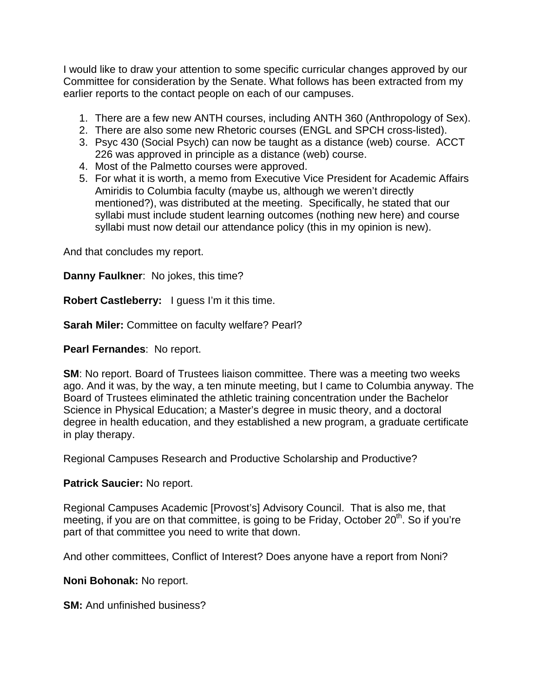I would like to draw your attention to some specific curricular changes approved by our Committee for consideration by the Senate. What follows has been extracted from my earlier reports to the contact people on each of our campuses.

- 1. There are a few new ANTH courses, including ANTH 360 (Anthropology of Sex).
- 2. There are also some new Rhetoric courses (ENGL and SPCH cross-listed).
- 3. Psyc 430 (Social Psych) can now be taught as a distance (web) course. ACCT 226 was approved in principle as a distance (web) course.
- 4. Most of the Palmetto courses were approved.
- 5. For what it is worth, a memo from Executive Vice President for Academic Affairs Amiridis to Columbia faculty (maybe us, although we weren't directly mentioned?), was distributed at the meeting. Specifically, he stated that our syllabi must include student learning outcomes (nothing new here) and course syllabi must now detail our attendance policy (this in my opinion is new).

And that concludes my report.

**Danny Faulkner**: No jokes, this time?

**Robert Castleberry:** I guess I'm it this time.

**Sarah Miler:** Committee on faculty welfare? Pearl?

**Pearl Fernandes**: No report.

**SM**: No report. Board of Trustees liaison committee. There was a meeting two weeks ago. And it was, by the way, a ten minute meeting, but I came to Columbia anyway. The Board of Trustees eliminated the athletic training concentration under the Bachelor Science in Physical Education; a Master's degree in music theory, and a doctoral degree in health education, and they established a new program, a graduate certificate in play therapy.

Regional Campuses Research and Productive Scholarship and Productive?

#### **Patrick Saucier:** No report.

Regional Campuses Academic [Provost's] Advisory Council. That is also me, that meeting, if you are on that committee, is going to be Friday, October 20<sup>th</sup>. So if you're part of that committee you need to write that down.

And other committees, Conflict of Interest? Does anyone have a report from Noni?

**Noni Bohonak:** No report.

**SM:** And unfinished business?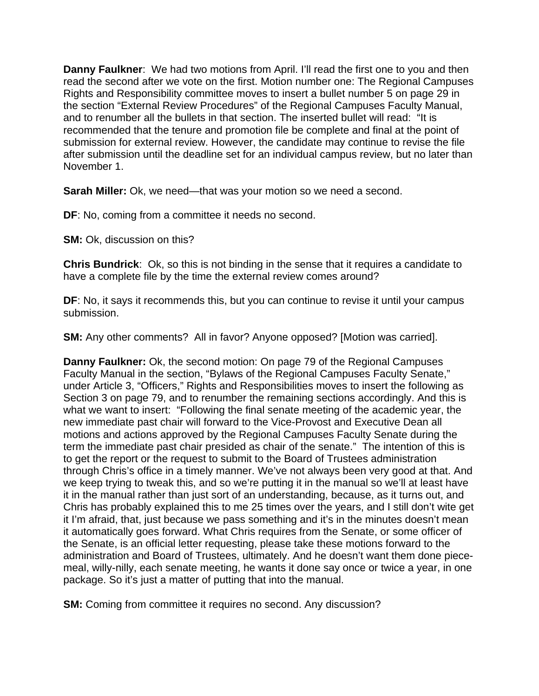**Danny Faulkner**: We had two motions from April. I'll read the first one to you and then read the second after we vote on the first. Motion number one: The Regional Campuses Rights and Responsibility committee moves to insert a bullet number 5 on page 29 in the section "External Review Procedures" of the Regional Campuses Faculty Manual, and to renumber all the bullets in that section. The inserted bullet will read: "It is recommended that the tenure and promotion file be complete and final at the point of submission for external review. However, the candidate may continue to revise the file after submission until the deadline set for an individual campus review, but no later than November 1.

**Sarah Miller:** Ok, we need—that was your motion so we need a second.

**DF**: No, coming from a committee it needs no second.

**SM:** Ok, discussion on this?

**Chris Bundrick**: Ok, so this is not binding in the sense that it requires a candidate to have a complete file by the time the external review comes around?

**DF**: No, it says it recommends this, but you can continue to revise it until your campus submission.

**SM:** Any other comments? All in favor? Anyone opposed? [Motion was carried].

**Danny Faulkner:** Ok, the second motion: On page 79 of the Regional Campuses Faculty Manual in the section, "Bylaws of the Regional Campuses Faculty Senate," under Article 3, "Officers," Rights and Responsibilities moves to insert the following as Section 3 on page 79, and to renumber the remaining sections accordingly. And this is what we want to insert: "Following the final senate meeting of the academic year, the new immediate past chair will forward to the Vice-Provost and Executive Dean all motions and actions approved by the Regional Campuses Faculty Senate during the term the immediate past chair presided as chair of the senate." The intention of this is to get the report or the request to submit to the Board of Trustees administration through Chris's office in a timely manner. We've not always been very good at that. And we keep trying to tweak this, and so we're putting it in the manual so we'll at least have it in the manual rather than just sort of an understanding, because, as it turns out, and Chris has probably explained this to me 25 times over the years, and I still don't wite get it I'm afraid, that, just because we pass something and it's in the minutes doesn't mean it automatically goes forward. What Chris requires from the Senate, or some officer of the Senate, is an official letter requesting, please take these motions forward to the administration and Board of Trustees, ultimately. And he doesn't want them done piecemeal, willy-nilly, each senate meeting, he wants it done say once or twice a year, in one package. So it's just a matter of putting that into the manual.

**SM:** Coming from committee it requires no second. Any discussion?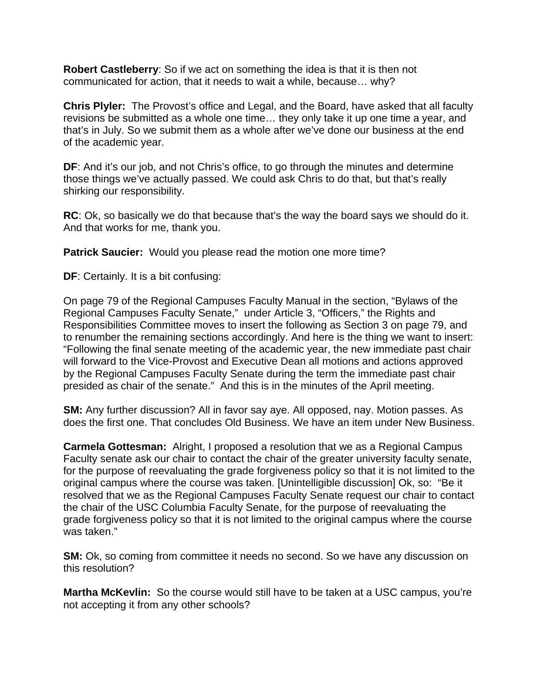**Robert Castleberry**: So if we act on something the idea is that it is then not communicated for action, that it needs to wait a while, because… why?

**Chris Plyler:** The Provost's office and Legal, and the Board, have asked that all faculty revisions be submitted as a whole one time… they only take it up one time a year, and that's in July. So we submit them as a whole after we've done our business at the end of the academic year.

**DF:** And it's our job, and not Chris's office, to go through the minutes and determine those things we've actually passed. We could ask Chris to do that, but that's really shirking our responsibility.

**RC**: Ok, so basically we do that because that's the way the board says we should do it. And that works for me, thank you.

**Patrick Saucier:** Would you please read the motion one more time?

**DF**: Certainly. It is a bit confusing:

On page 79 of the Regional Campuses Faculty Manual in the section, "Bylaws of the Regional Campuses Faculty Senate," under Article 3, "Officers," the Rights and Responsibilities Committee moves to insert the following as Section 3 on page 79, and to renumber the remaining sections accordingly. And here is the thing we want to insert: "Following the final senate meeting of the academic year, the new immediate past chair will forward to the Vice-Provost and Executive Dean all motions and actions approved by the Regional Campuses Faculty Senate during the term the immediate past chair presided as chair of the senate." And this is in the minutes of the April meeting.

**SM:** Any further discussion? All in favor say aye. All opposed, nay. Motion passes. As does the first one. That concludes Old Business. We have an item under New Business.

**Carmela Gottesman:** Alright, I proposed a resolution that we as a Regional Campus Faculty senate ask our chair to contact the chair of the greater university faculty senate, for the purpose of reevaluating the grade forgiveness policy so that it is not limited to the original campus where the course was taken. [Unintelligible discussion] Ok, so: "Be it resolved that we as the Regional Campuses Faculty Senate request our chair to contact the chair of the USC Columbia Faculty Senate, for the purpose of reevaluating the grade forgiveness policy so that it is not limited to the original campus where the course was taken."

**SM:** Ok, so coming from committee it needs no second. So we have any discussion on this resolution?

**Martha McKevlin:** So the course would still have to be taken at a USC campus, you're not accepting it from any other schools?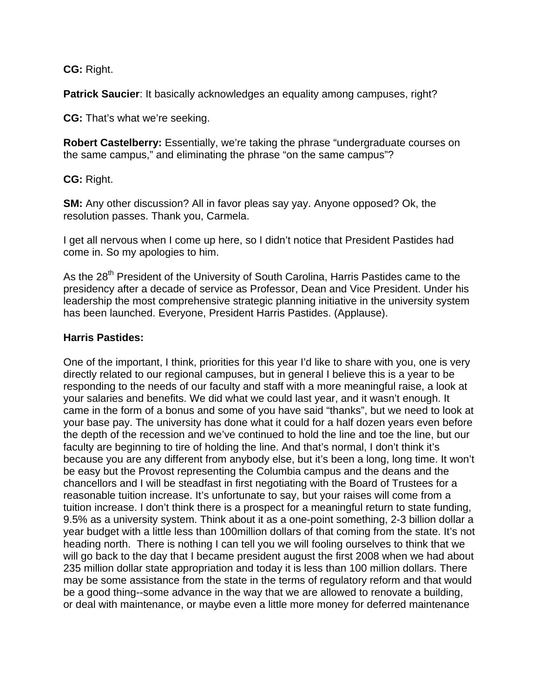**CG:** Right.

**Patrick Saucier**: It basically acknowledges an equality among campuses, right?

**CG:** That's what we're seeking.

**Robert Castelberry:** Essentially, we're taking the phrase "undergraduate courses on the same campus," and eliminating the phrase "on the same campus"?

**CG:** Right.

**SM:** Any other discussion? All in favor pleas say yay. Anyone opposed? Ok, the resolution passes. Thank you, Carmela.

I get all nervous when I come up here, so I didn't notice that President Pastides had come in. So my apologies to him.

As the 28<sup>th</sup> President of the University of South Carolina, Harris Pastides came to the presidency after a decade of service as Professor, Dean and Vice President. Under his leadership the most comprehensive strategic planning initiative in the university system has been launched. Everyone, President Harris Pastides. (Applause).

#### **Harris Pastides:**

One of the important, I think, priorities for this year I'd like to share with you, one is very directly related to our regional campuses, but in general I believe this is a year to be responding to the needs of our faculty and staff with a more meaningful raise, a look at your salaries and benefits. We did what we could last year, and it wasn't enough. It came in the form of a bonus and some of you have said "thanks", but we need to look at your base pay. The university has done what it could for a half dozen years even before the depth of the recession and we've continued to hold the line and toe the line, but our faculty are beginning to tire of holding the line. And that's normal, I don't think it's because you are any different from anybody else, but it's been a long, long time. It won't be easy but the Provost representing the Columbia campus and the deans and the chancellors and I will be steadfast in first negotiating with the Board of Trustees for a reasonable tuition increase. It's unfortunate to say, but your raises will come from a tuition increase. I don't think there is a prospect for a meaningful return to state funding, 9.5% as a university system. Think about it as a one-point something, 2-3 billion dollar a year budget with a little less than 100million dollars of that coming from the state. It's not heading north. There is nothing I can tell you we will fooling ourselves to think that we will go back to the day that I became president august the first 2008 when we had about 235 million dollar state appropriation and today it is less than 100 million dollars. There may be some assistance from the state in the terms of regulatory reform and that would be a good thing--some advance in the way that we are allowed to renovate a building, or deal with maintenance, or maybe even a little more money for deferred maintenance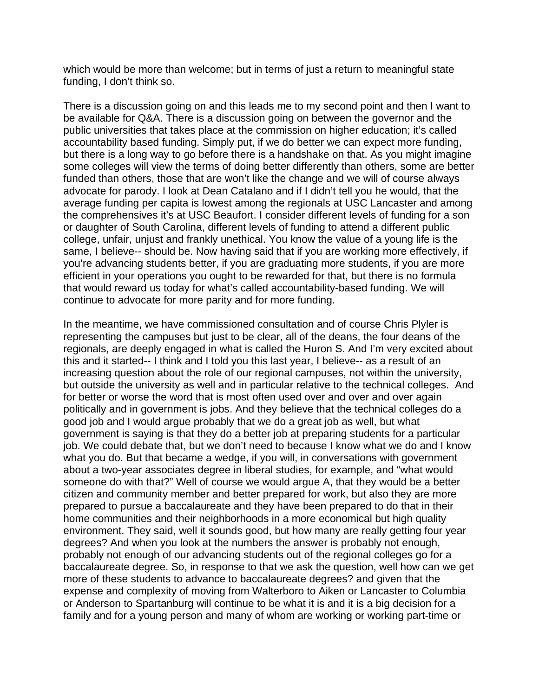which would be more than welcome; but in terms of just a return to meaningful state funding, I don't think so.

There is a discussion going on and this leads me to my second point and then I want to be available for Q&A. There is a discussion going on between the governor and the public universities that takes place at the commission on higher education; it's called accountability based funding. Simply put, if we do better we can expect more funding, but there is a long way to go before there is a handshake on that. As you might imagine some colleges will view the terms of doing better differently than others, some are better funded than others, those that are won't like the change and we will of course always advocate for parody. I look at Dean Catalano and if I didn't tell you he would, that the average funding per capita is lowest among the regionals at USC Lancaster and among the comprehensives it's at USC Beaufort. I consider different levels of funding for a son or daughter of South Carolina, different levels of funding to attend a different public college, unfair, unjust and frankly unethical. You know the value of a young life is the same, I believe-- should be. Now having said that if you are working more effectively, if you're advancing students better, if you are graduating more students, if you are more efficient in your operations you ought to be rewarded for that, but there is no formula that would reward us today for what's called accountability-based funding. We will continue to advocate for more parity and for more funding.

In the meantime, we have commissioned consultation and of course Chris Plyler is representing the campuses but just to be clear, all of the deans, the four deans of the regionals, are deeply engaged in what is called the Huron S. And I'm very excited about this and it started-- I think and I told you this last year, I believe-- as a result of an increasing question about the role of our regional campuses, not within the university, but outside the university as well and in particular relative to the technical colleges. And for better or worse the word that is most often used over and over and over again politically and in government is jobs. And they believe that the technical colleges do a good job and I would argue probably that we do a great job as well, but what government is saying is that they do a better job at preparing students for a particular job. We could debate that, but we don't need to because I know what we do and I know what you do. But that became a wedge, if you will, in conversations with government about a two-year associates degree in liberal studies, for example, and "what would someone do with that?" Well of course we would argue A, that they would be a better citizen and community member and better prepared for work, but also they are more prepared to pursue a baccalaureate and they have been prepared to do that in their home communities and their neighborhoods in a more economical but high quality environment. They said, well it sounds good, but how many are really getting four year degrees? And when you look at the numbers the answer is probably not enough, probably not enough of our advancing students out of the regional colleges go for a baccalaureate degree. So, in response to that we ask the question, well how can we get more of these students to advance to baccalaureate degrees? and given that the expense and complexity of moving from Walterboro to Aiken or Lancaster to Columbia or Anderson to Spartanburg will continue to be what it is and it is a big decision for a family and for a young person and many of whom are working or working part-time or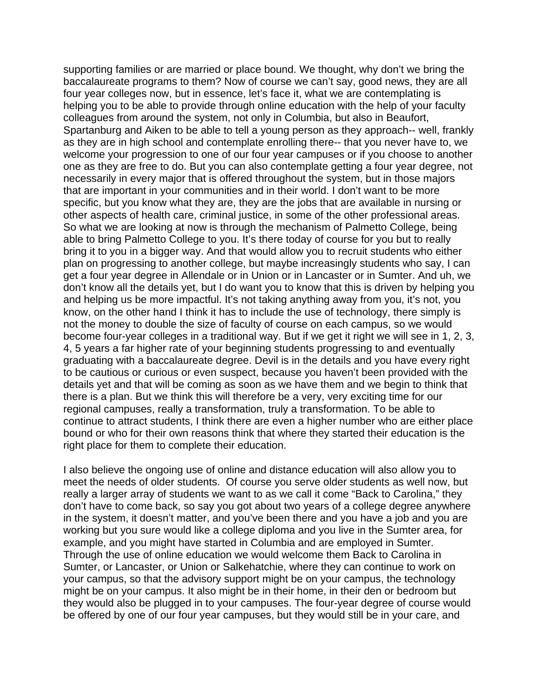supporting families or are married or place bound. We thought, why don't we bring the baccalaureate programs to them? Now of course we can't say, good news, they are all four year colleges now, but in essence, let's face it, what we are contemplating is helping you to be able to provide through online education with the help of your faculty colleagues from around the system, not only in Columbia, but also in Beaufort, Spartanburg and Aiken to be able to tell a young person as they approach-- well, frankly as they are in high school and contemplate enrolling there-- that you never have to, we welcome your progression to one of our four year campuses or if you choose to another one as they are free to do. But you can also contemplate getting a four year degree, not necessarily in every major that is offered throughout the system, but in those majors that are important in your communities and in their world. I don't want to be more specific, but you know what they are, they are the jobs that are available in nursing or other aspects of health care, criminal justice, in some of the other professional areas. So what we are looking at now is through the mechanism of Palmetto College, being able to bring Palmetto College to you. It's there today of course for you but to really bring it to you in a bigger way. And that would allow you to recruit students who either plan on progressing to another college, but maybe increasingly students who say, I can get a four year degree in Allendale or in Union or in Lancaster or in Sumter. And uh, we don't know all the details yet, but I do want you to know that this is driven by helping you and helping us be more impactful. It's not taking anything away from you, it's not, you know, on the other hand I think it has to include the use of technology, there simply is not the money to double the size of faculty of course on each campus, so we would become four-year colleges in a traditional way. But if we get it right we will see in 1, 2, 3, 4, 5 years a far higher rate of your beginning students progressing to and eventually graduating with a baccalaureate degree. Devil is in the details and you have every right to be cautious or curious or even suspect, because you haven't been provided with the details yet and that will be coming as soon as we have them and we begin to think that there is a plan. But we think this will therefore be a very, very exciting time for our regional campuses, really a transformation, truly a transformation. To be able to continue to attract students, I think there are even a higher number who are either place bound or who for their own reasons think that where they started their education is the right place for them to complete their education.

I also believe the ongoing use of online and distance education will also allow you to meet the needs of older students. Of course you serve older students as well now, but really a larger array of students we want to as we call it come "Back to Carolina," they don't have to come back, so say you got about two years of a college degree anywhere in the system, it doesn't matter, and you've been there and you have a job and you are working but you sure would like a college diploma and you live in the Sumter area, for example, and you might have started in Columbia and are employed in Sumter. Through the use of online education we would welcome them Back to Carolina in Sumter, or Lancaster, or Union or Salkehatchie, where they can continue to work on your campus, so that the advisory support might be on your campus, the technology might be on your campus. It also might be in their home, in their den or bedroom but they would also be plugged in to your campuses. The four-year degree of course would be offered by one of our four year campuses, but they would still be in your care, and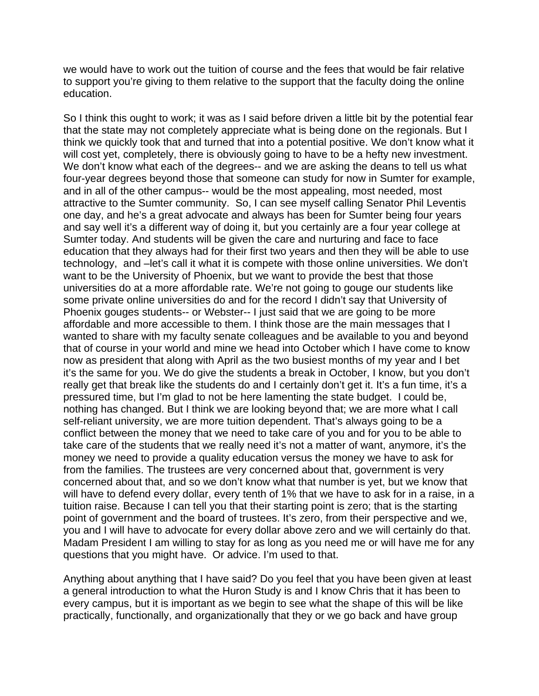we would have to work out the tuition of course and the fees that would be fair relative to support you're giving to them relative to the support that the faculty doing the online education.

So I think this ought to work; it was as I said before driven a little bit by the potential fear that the state may not completely appreciate what is being done on the regionals. But I think we quickly took that and turned that into a potential positive. We don't know what it will cost yet, completely, there is obviously going to have to be a hefty new investment. We don't know what each of the degrees-- and we are asking the deans to tell us what four-year degrees beyond those that someone can study for now in Sumter for example, and in all of the other campus-- would be the most appealing, most needed, most attractive to the Sumter community. So, I can see myself calling Senator Phil Leventis one day, and he's a great advocate and always has been for Sumter being four years and say well it's a different way of doing it, but you certainly are a four year college at Sumter today. And students will be given the care and nurturing and face to face education that they always had for their first two years and then they will be able to use technology, and –let's call it what it is compete with those online universities. We don't want to be the University of Phoenix, but we want to provide the best that those universities do at a more affordable rate. We're not going to gouge our students like some private online universities do and for the record I didn't say that University of Phoenix gouges students-- or Webster-- I just said that we are going to be more affordable and more accessible to them. I think those are the main messages that I wanted to share with my faculty senate colleagues and be available to you and beyond that of course in your world and mine we head into October which I have come to know now as president that along with April as the two busiest months of my year and I bet it's the same for you. We do give the students a break in October, I know, but you don't really get that break like the students do and I certainly don't get it. It's a fun time, it's a pressured time, but I'm glad to not be here lamenting the state budget. I could be, nothing has changed. But I think we are looking beyond that; we are more what I call self-reliant university, we are more tuition dependent. That's always going to be a conflict between the money that we need to take care of you and for you to be able to take care of the students that we really need it's not a matter of want, anymore, it's the money we need to provide a quality education versus the money we have to ask for from the families. The trustees are very concerned about that, government is very concerned about that, and so we don't know what that number is yet, but we know that will have to defend every dollar, every tenth of 1% that we have to ask for in a raise, in a tuition raise. Because I can tell you that their starting point is zero; that is the starting point of government and the board of trustees. It's zero, from their perspective and we, you and I will have to advocate for every dollar above zero and we will certainly do that. Madam President I am willing to stay for as long as you need me or will have me for any questions that you might have. Or advice. I'm used to that.

Anything about anything that I have said? Do you feel that you have been given at least a general introduction to what the Huron Study is and I know Chris that it has been to every campus, but it is important as we begin to see what the shape of this will be like practically, functionally, and organizationally that they or we go back and have group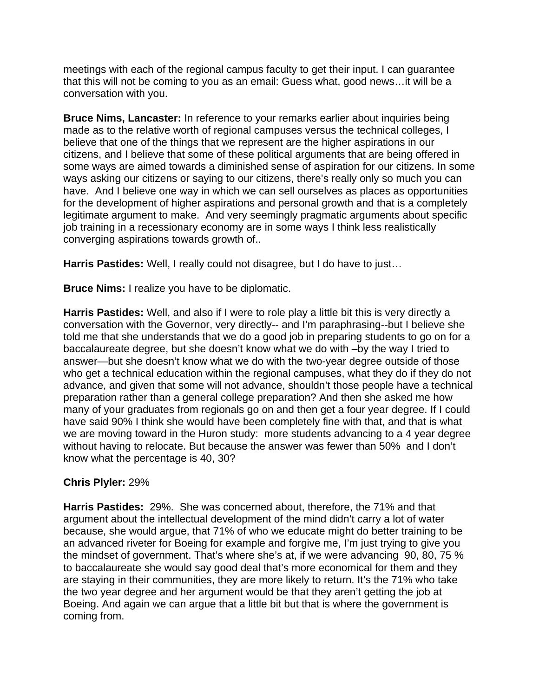meetings with each of the regional campus faculty to get their input. I can guarantee that this will not be coming to you as an email: Guess what, good news…it will be a conversation with you.

**Bruce Nims, Lancaster:** In reference to your remarks earlier about inquiries being made as to the relative worth of regional campuses versus the technical colleges, I believe that one of the things that we represent are the higher aspirations in our citizens, and I believe that some of these political arguments that are being offered in some ways are aimed towards a diminished sense of aspiration for our citizens. In some ways asking our citizens or saying to our citizens, there's really only so much you can have. And I believe one way in which we can sell ourselves as places as opportunities for the development of higher aspirations and personal growth and that is a completely legitimate argument to make. And very seemingly pragmatic arguments about specific job training in a recessionary economy are in some ways I think less realistically converging aspirations towards growth of..

**Harris Pastides:** Well, I really could not disagree, but I do have to just…

**Bruce Nims:** I realize you have to be diplomatic.

**Harris Pastides:** Well, and also if I were to role play a little bit this is very directly a conversation with the Governor, very directly-- and I'm paraphrasing--but I believe she told me that she understands that we do a good job in preparing students to go on for a baccalaureate degree, but she doesn't know what we do with –by the way I tried to answer—but she doesn't know what we do with the two-year degree outside of those who get a technical education within the regional campuses, what they do if they do not advance, and given that some will not advance, shouldn't those people have a technical preparation rather than a general college preparation? And then she asked me how many of your graduates from regionals go on and then get a four year degree. If I could have said 90% I think she would have been completely fine with that, and that is what we are moving toward in the Huron study: more students advancing to a 4 year degree without having to relocate. But because the answer was fewer than 50% and I don't know what the percentage is 40, 30?

## **Chris Plyler:** 29%

**Harris Pastides:** 29%. She was concerned about, therefore, the 71% and that argument about the intellectual development of the mind didn't carry a lot of water because, she would argue, that 71% of who we educate might do better training to be an advanced riveter for Boeing for example and forgive me, I'm just trying to give you the mindset of government. That's where she's at, if we were advancing 90, 80, 75 % to baccalaureate she would say good deal that's more economical for them and they are staying in their communities, they are more likely to return. It's the 71% who take the two year degree and her argument would be that they aren't getting the job at Boeing. And again we can argue that a little bit but that is where the government is coming from.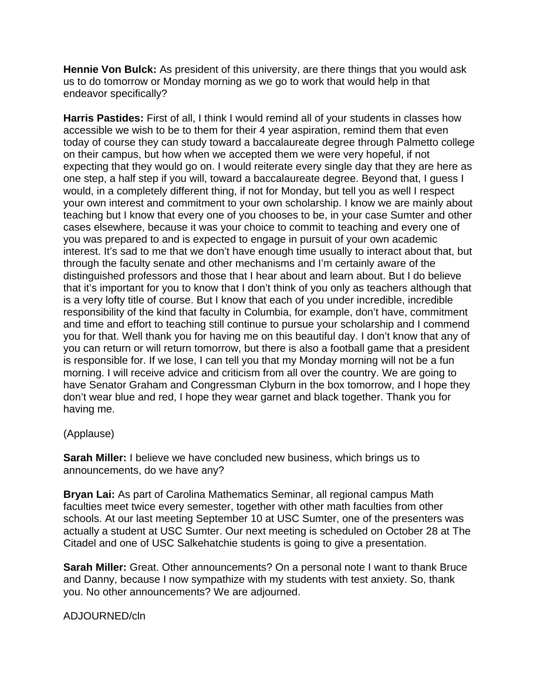**Hennie Von Bulck:** As president of this university, are there things that you would ask us to do tomorrow or Monday morning as we go to work that would help in that endeavor specifically?

**Harris Pastides:** First of all, I think I would remind all of your students in classes how accessible we wish to be to them for their 4 year aspiration, remind them that even today of course they can study toward a baccalaureate degree through Palmetto college on their campus, but how when we accepted them we were very hopeful, if not expecting that they would go on. I would reiterate every single day that they are here as one step, a half step if you will, toward a baccalaureate degree. Beyond that, I guess I would, in a completely different thing, if not for Monday, but tell you as well I respect your own interest and commitment to your own scholarship. I know we are mainly about teaching but I know that every one of you chooses to be, in your case Sumter and other cases elsewhere, because it was your choice to commit to teaching and every one of you was prepared to and is expected to engage in pursuit of your own academic interest. It's sad to me that we don't have enough time usually to interact about that, but through the faculty senate and other mechanisms and I'm certainly aware of the distinguished professors and those that I hear about and learn about. But I do believe that it's important for you to know that I don't think of you only as teachers although that is a very lofty title of course. But I know that each of you under incredible, incredible responsibility of the kind that faculty in Columbia, for example, don't have, commitment and time and effort to teaching still continue to pursue your scholarship and I commend you for that. Well thank you for having me on this beautiful day. I don't know that any of you can return or will return tomorrow, but there is also a football game that a president is responsible for. If we lose, I can tell you that my Monday morning will not be a fun morning. I will receive advice and criticism from all over the country. We are going to have Senator Graham and Congressman Clyburn in the box tomorrow, and I hope they don't wear blue and red, I hope they wear garnet and black together. Thank you for having me.

## (Applause)

**Sarah Miller:** I believe we have concluded new business, which brings us to announcements, do we have any?

**Bryan Lai:** As part of Carolina Mathematics Seminar, all regional campus Math faculties meet twice every semester, together with other math faculties from other schools. At our last meeting September 10 at USC Sumter, one of the presenters was actually a student at USC Sumter. Our next meeting is scheduled on October 28 at The Citadel and one of USC Salkehatchie students is going to give a presentation.

**Sarah Miller:** Great. Other announcements? On a personal note I want to thank Bruce and Danny, because I now sympathize with my students with test anxiety. So, thank you. No other announcements? We are adjourned.

## ADJOURNED/cln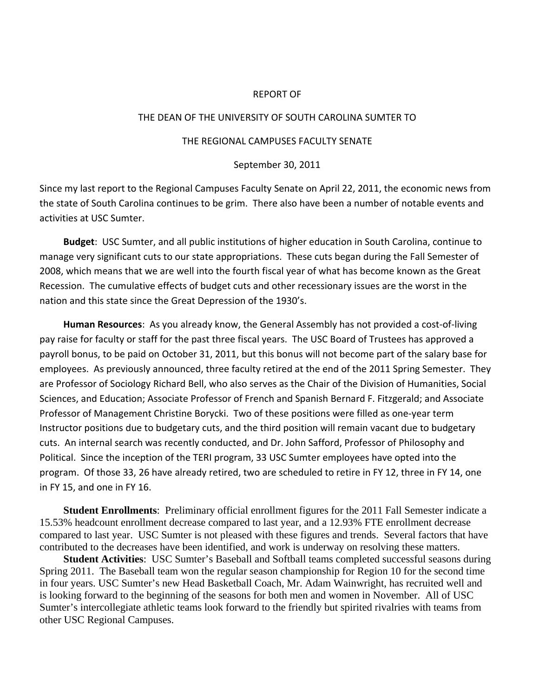#### REPORT OF

#### THE DEAN OF THE UNIVERSITY OF SOUTH CAROLINA SUMTER TO

#### THE REGIONAL CAMPUSES FACULTY SENATE

#### September 30, 2011

Since my last report to the Regional Campuses Faculty Senate on April 22, 2011, the economic news from the state of South Carolina continues to be grim. There also have been a number of notable events and activities at USC Sumter.

**Budget**: USC Sumter, and all public institutions of higher education in South Carolina, continue to manage very significant cuts to our state appropriations. These cuts began during the Fall Semester of 2008, which means that we are well into the fourth fiscal year of what has become known as the Great Recession. The cumulative effects of budget cuts and other recessionary issues are the worst in the nation and this state since the Great Depression of the 1930's.

**Human Resources**: As you already know, the General Assembly has not provided a cost‐of‐living pay raise for faculty or staff for the past three fiscal years. The USC Board of Trustees has approved a payroll bonus, to be paid on October 31, 2011, but this bonus will not become part of the salary base for employees. As previously announced, three faculty retired at the end of the 2011 Spring Semester. They are Professor of Sociology Richard Bell, who also serves as the Chair of the Division of Humanities, Social Sciences, and Education; Associate Professor of French and Spanish Bernard F. Fitzgerald; and Associate Professor of Management Christine Borycki. Two of these positions were filled as one‐year term Instructor positions due to budgetary cuts, and the third position will remain vacant due to budgetary cuts. An internal search was recently conducted, and Dr. John Safford, Professor of Philosophy and Political. Since the inception of the TERI program, 33 USC Sumter employees have opted into the program. Of those 33, 26 have already retired, two are scheduled to retire in FY 12, three in FY 14, one in FY 15, and one in FY 16.

**Student Enrollments**: Preliminary official enrollment figures for the 2011 Fall Semester indicate a 15.53% headcount enrollment decrease compared to last year, and a 12.93% FTE enrollment decrease compared to last year. USC Sumter is not pleased with these figures and trends. Several factors that have contributed to the decreases have been identified, and work is underway on resolving these matters.

**Student Activities**: USC Sumter's Baseball and Softball teams completed successful seasons during Spring 2011. The Baseball team won the regular season championship for Region 10 for the second time in four years. USC Sumter's new Head Basketball Coach, Mr. Adam Wainwright, has recruited well and is looking forward to the beginning of the seasons for both men and women in November. All of USC Sumter's intercollegiate athletic teams look forward to the friendly but spirited rivalries with teams from other USC Regional Campuses.